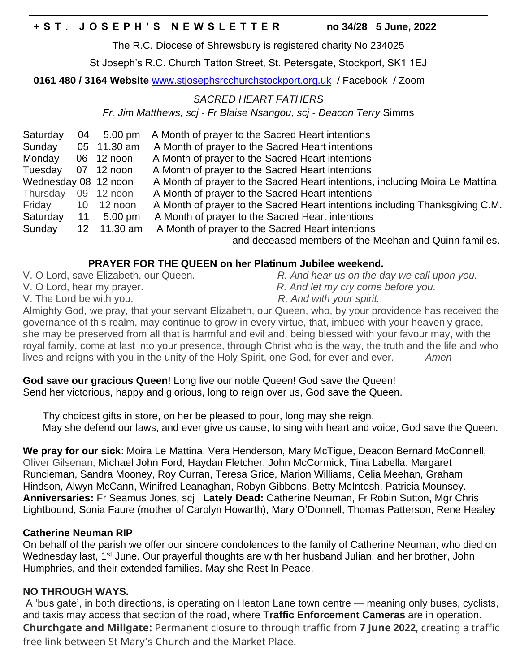|                      |    |                   | +ST. JOSEPH'S NEWSLETTER                                                        |  | no 34/28 5 June, 2022                                  |
|----------------------|----|-------------------|---------------------------------------------------------------------------------|--|--------------------------------------------------------|
|                      |    |                   | The R.C. Diocese of Shrewsbury is registered charity No 234025                  |  |                                                        |
|                      |    |                   | St Joseph's R.C. Church Tatton Street, St. Petersgate, Stockport, SK1 1EJ       |  |                                                        |
|                      |    |                   | 0161 480 / 3164 Website www.stjosephsrcchurchstockport.org.uk / Facebook / Zoom |  |                                                        |
|                      |    |                   | <b>SACRED HEART FATHERS</b>                                                     |  |                                                        |
|                      |    |                   | Fr. Jim Matthews, scj - Fr Blaise Nsangou, scj - Deacon Terry Simms             |  |                                                        |
| Saturday             | 04 | $5.00 \text{ pm}$ | A Month of prayer to the Sacred Heart intentions                                |  |                                                        |
| Sunday               |    | 05 11.30 am       | A Month of prayer to the Sacred Heart intentions                                |  |                                                        |
| Monday               |    | 06 12 noon        | A Month of prayer to the Sacred Heart intentions                                |  |                                                        |
| Tuesday              |    | 07 12 noon        | A Month of prayer to the Sacred Heart intentions                                |  |                                                        |
| Wednesday 08 12 noon |    |                   | A Month of prayer to the Sacred Heart intentions, including Moira Le Mattina    |  |                                                        |
| Thursday             |    | 09 12 noon        | A Month of prayer to the Sacred Heart intentions                                |  |                                                        |
| Friday               |    | 10 12 noon        | A Month of prayer to the Sacred Heart intentions including Thanksgiving C.M.    |  |                                                        |
| Saturday             |    | 11 5.00 pm        | A Month of prayer to the Sacred Heart intentions                                |  |                                                        |
| Sunday               | 12 | 11.30 am          | A Month of prayer to the Sacred Heart intentions                                |  |                                                        |
|                      |    |                   |                                                                                 |  | and deceased members of the Meehan and Quinn families. |
|                      |    |                   |                                                                                 |  |                                                        |

## **PRAYER FOR THE QUEEN on her Platinum Jubilee weekend.**

- 
- V. O Lord, save Elizabeth, our Queen. *R. And hear us on the day we call upon you.*
- V. O Lord, hear my prayer. *R. And let my cry come before you.*
- V. The Lord be with you. *R. And with your spirit.*
- 

Almighty God, we pray, that your servant Elizabeth, our Queen, who, by your providence has received the governance of this realm, may continue to grow in every virtue, that, imbued with your heavenly grace, she may be preserved from all that is harmful and evil and, being blessed with your favour may, with the royal family, come at last into your presence, through Christ who is the way, the truth and the life and who lives and reigns with you in the unity of the Holy Spirit, one God, for ever and ever. *Amen*

**God save our gracious Queen**! Long live our noble Queen! God save the Queen! Send her victorious, happy and glorious, long to reign over us, God save the Queen.

 Thy choicest gifts in store, on her be pleased to pour, long may she reign. May she defend our laws, and ever give us cause, to sing with heart and voice, God save the Queen.

**We pray for our sick**: Moira Le Mattina, Vera Henderson, Mary McTigue, Deacon Bernard McConnell, Oliver Gilsenan, Michael John Ford, Haydan Fletcher, John McCormick, Tina Labella, Margaret Runcieman, Sandra Mooney, Roy Curran, Teresa Grice, Marion Williams, Celia Meehan, Graham Hindson, Alwyn McCann, Winifred Leanaghan, Robyn Gibbons, Betty McIntosh, Patricia Mounsey. **Anniversaries:** Fr Seamus Jones, scj **Lately Dead:** Catherine Neuman, Fr Robin Sutton**,** Mgr Chris Lightbound, Sonia Faure (mother of Carolyn Howarth), Mary O'Donnell, Thomas Patterson, Rene Healey

## **Catherine Neuman RIP**

On behalf of the parish we offer our sincere condolences to the family of Catherine Neuman, who died on Wednesday last, 1<sup>st</sup> June. Our prayerful thoughts are with her husband Julian, and her brother, John Humphries, and their extended families. May she Rest In Peace.

# **NO THROUGH WAYS.**

A 'bus gate', in both directions, is operating on Heaton Lane town centre — meaning only buses, cyclists, and taxis may access that section of the road, where T**raffic Enforcement Cameras** are in operation. **Churchgate and Millgate:** Permanent closure to through traffic from **7 June 2022**, creating a traffic free link between St Mary's Church and the Market Place.